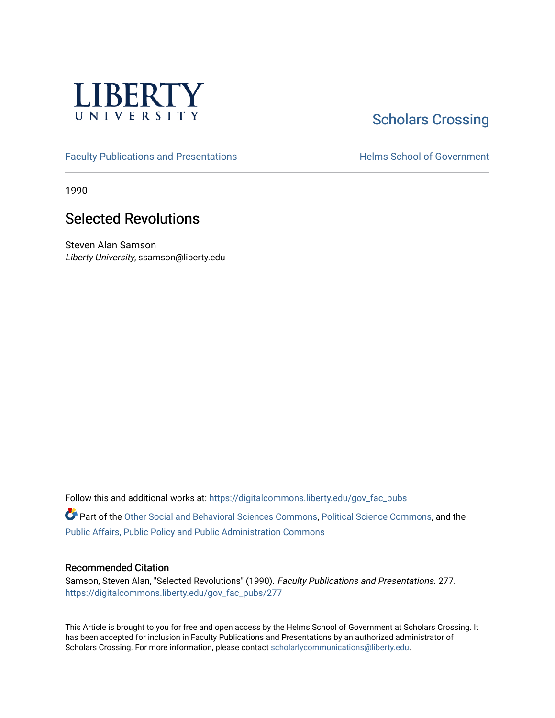

## **Scholars Crossing**

[Faculty Publications and Presentations](https://digitalcommons.liberty.edu/gov_fac_pubs) **Exercise School of Government** 

1990

## Selected Revolutions

Steven Alan Samson Liberty University, ssamson@liberty.edu

Follow this and additional works at: [https://digitalcommons.liberty.edu/gov\\_fac\\_pubs](https://digitalcommons.liberty.edu/gov_fac_pubs?utm_source=digitalcommons.liberty.edu%2Fgov_fac_pubs%2F277&utm_medium=PDF&utm_campaign=PDFCoverPages)

Part of the [Other Social and Behavioral Sciences Commons](http://network.bepress.com/hgg/discipline/437?utm_source=digitalcommons.liberty.edu%2Fgov_fac_pubs%2F277&utm_medium=PDF&utm_campaign=PDFCoverPages), [Political Science Commons](http://network.bepress.com/hgg/discipline/386?utm_source=digitalcommons.liberty.edu%2Fgov_fac_pubs%2F277&utm_medium=PDF&utm_campaign=PDFCoverPages), and the [Public Affairs, Public Policy and Public Administration Commons](http://network.bepress.com/hgg/discipline/393?utm_source=digitalcommons.liberty.edu%2Fgov_fac_pubs%2F277&utm_medium=PDF&utm_campaign=PDFCoverPages)

## Recommended Citation

Samson, Steven Alan, "Selected Revolutions" (1990). Faculty Publications and Presentations. 277. [https://digitalcommons.liberty.edu/gov\\_fac\\_pubs/277](https://digitalcommons.liberty.edu/gov_fac_pubs/277?utm_source=digitalcommons.liberty.edu%2Fgov_fac_pubs%2F277&utm_medium=PDF&utm_campaign=PDFCoverPages)

This Article is brought to you for free and open access by the Helms School of Government at Scholars Crossing. It has been accepted for inclusion in Faculty Publications and Presentations by an authorized administrator of Scholars Crossing. For more information, please contact [scholarlycommunications@liberty.edu.](mailto:scholarlycommunications@liberty.edu)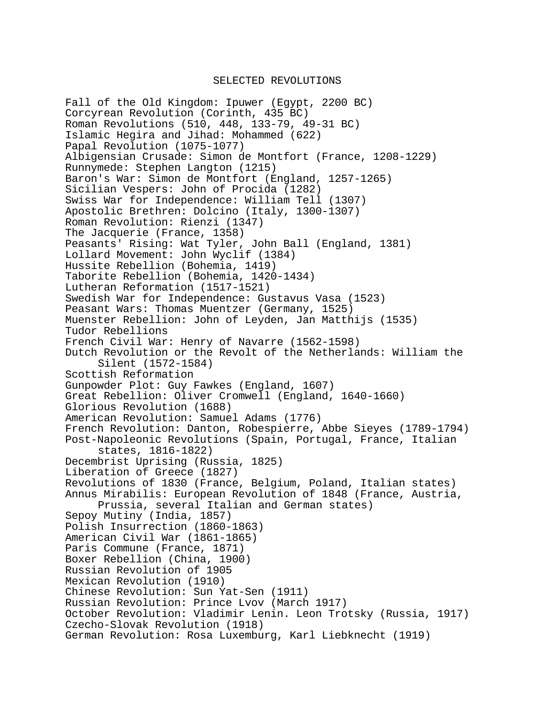## SELECTED REVOLUTIONS

Fall of the Old Kingdom: Ipuwer (Egypt, 2200 BC) Corcyrean Revolution (Corinth, 435 BC) Roman Revolutions (510, 448, 133-79, 49-31 BC) Islamic Hegira and Jihad: Mohammed (622) Papal Revolution (1075-1077) Albigensian Crusade: Simon de Montfort (France, 1208-1229) Runnymede: Stephen Langton (1215) Baron's War: Simon de Montfort (England, 1257-1265) Sicilian Vespers: John of Procida (1282) Swiss War for Independence: William Tell (1307) Apostolic Brethren: Dolcino (Italy, 1300-1307) Roman Revolution: Rienzi (1347) The Jacquerie (France, 1358) Peasants' Rising: Wat Tyler, John Ball (England, 1381) Lollard Movement: John Wyclif (1384) Hussite Rebellion (Bohemia, 1419) Taborite Rebellion (Bohemia, 1420-1434) Lutheran Reformation (1517-1521) Swedish War for Independence: Gustavus Vasa (1523) Peasant Wars: Thomas Muentzer (Germany, 1525) Muenster Rebellion: John of Leyden, Jan Matthijs (1535) Tudor Rebellions French Civil War: Henry of Navarre (1562-1598) Dutch Revolution or the Revolt of the Netherlands: William the Silent (1572-1584) Scottish Reformation Gunpowder Plot: Guy Fawkes (England, 1607) Great Rebellion: Oliver Cromwell (England, 1640-1660) Glorious Revolution (1688) American Revolution: Samuel Adams (1776) French Revolution: Danton, Robespierre, Abbe Sieyes (1789-1794) Post-Napoleonic Revolutions (Spain, Portugal, France, Italian states, 1816-1822) Decembrist Uprising (Russia, 1825) Liberation of Greece (1827) Revolutions of 1830 (France, Belgium, Poland, Italian states) Annus Mirabilis: European Revolution of 1848 (France, Austria, Prussia, several Italian and German states) Sepoy Mutiny (India, 1857) Polish Insurrection (1860-1863) American Civil War (1861-1865) Paris Commune (France, 1871) Boxer Rebellion (China, 1900) Russian Revolution of 1905 Mexican Revolution (1910) Chinese Revolution: Sun Yat-Sen (1911) Russian Revolution: Prince Lvov (March 1917) October Revolution: Vladimir Lenin. Leon Trotsky (Russia, 1917) Czecho-Slovak Revolution (1918) German Revolution: Rosa Luxemburg, Karl Liebknecht (1919)